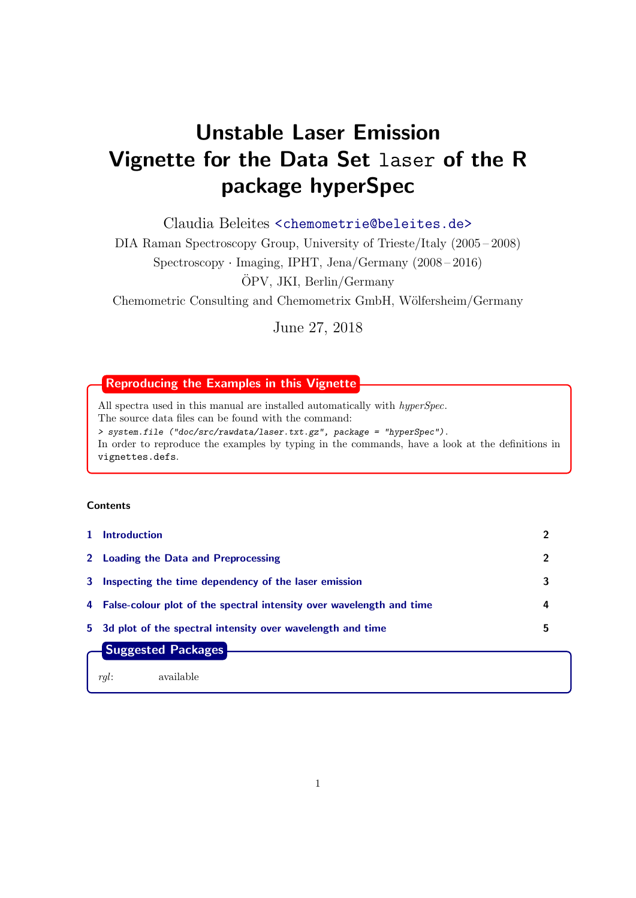# Unstable Laser Emission Vignette for the Data Set laser of the R package hyperSpec

Claudia Beleites <<chemometrie@beleites.de>>

DIA Raman Spectroscopy Group, University of Trieste/Italy (2005 – 2008)

Spectroscopy · Imaging, IPHT, Jena/Germany (2008 – 2016)

OPV, JKI, Berlin/Germany ¨

Chemometric Consulting and Chemometrix GmbH, Wölfersheim/Germany

June 27, 2018

## Reproducing the Examples in this Vignette

All spectra used in this manual are installed automatically with hyperSpec. The source data files can be found with the command: > system.file ("doc/src/rawdata/laser.txt.gz", package = "hyperSpec"). In order to reproduce the examples by typing in the commands, have a look at the definitions in vignettes.defs.

## Contents

| 1. | <b>Introduction</b>                                                    |   |
|----|------------------------------------------------------------------------|---|
|    | 2 Loading the Data and Preprocessing                                   |   |
|    | 3 Inspecting the time dependency of the laser emission                 |   |
|    | 4 False-colour plot of the spectral intensity over wavelength and time | 4 |
|    | 5 3d plot of the spectral intensity over wavelength and time           | 5 |
|    | Suggested Packages                                                     |   |

rgl: available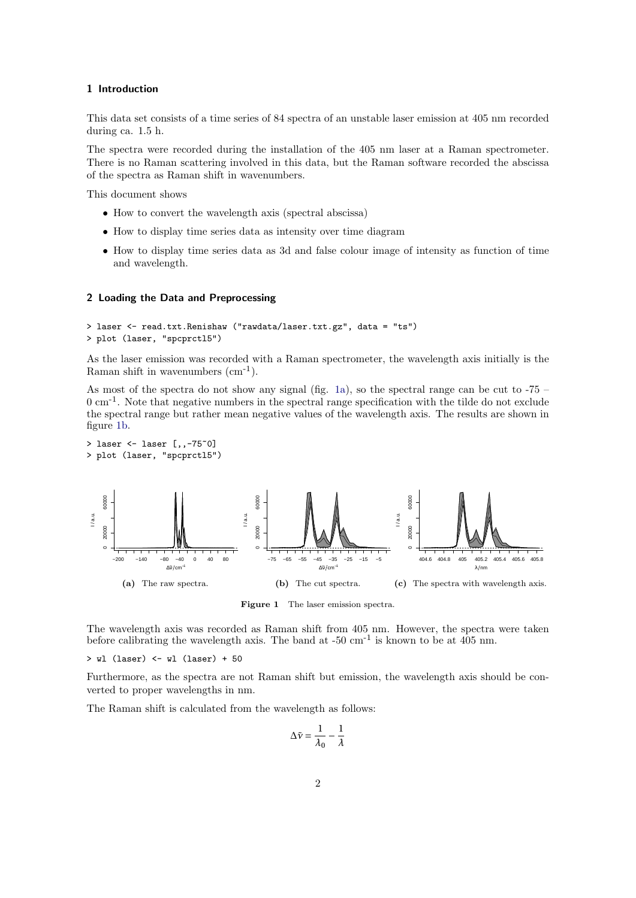## <span id="page-1-0"></span>1 Introduction

This data set consists of a time series of 84 spectra of an unstable laser emission at 405 nm recorded during ca. 1.5 h.

The spectra were recorded during the installation of the 405 nm laser at a Raman spectrometer. There is no Raman scattering involved in this data, but the Raman software recorded the abscissa of the spectra as Raman shift in wavenumbers.

This document shows

- How to convert the wavelength axis (spectral abscissa)
- How to display time series data as intensity over time diagram
- How to display time series data as 3d and false colour image of intensity as function of time and wavelength.

### <span id="page-1-1"></span>2 Loading the Data and Preprocessing

```
> laser <- read.txt.Renishaw ("rawdata/laser.txt.gz", data = "ts")
> plot (laser, "spcprctl5")
```
As the laser emission was recorded with a Raman spectrometer, the wavelength axis initially is the Raman shift in wavenumbers  $(cm<sup>-1</sup>)$ .

As most of the spectra do not show any signal (fig. [1a\)](#page-1-2), so the spectral range can be cut to  $-75$  –  $0 \text{ cm}^{-1}$ . Note that negative numbers in the spectral range specification with the tilde do not exclude the spectral range but rather mean negative values of the wavelength axis. The results are shown in figure [1b.](#page-1-3)

```
> laser <- laser [,,-75~0]
> plot (laser, "spcprctl5")
```
<span id="page-1-2"></span>

<span id="page-1-3"></span>Figure 1 The laser emission spectra.

The wavelength axis was recorded as Raman shift from 405 nm. However, the spectra were taken before calibrating the wavelength axis. The band at  $-50 \text{ cm}^{-1}$  is known to be at 405 nm.

> wl (laser) <- wl (laser) + 50

Furthermore, as the spectra are not Raman shift but emission, the wavelength axis should be converted to proper wavelengths in nm.

The Raman shift is calculated from the wavelength as follows:

$$
\Delta \tilde{\nu} = \frac{1}{\lambda_0} - \frac{1}{\lambda}
$$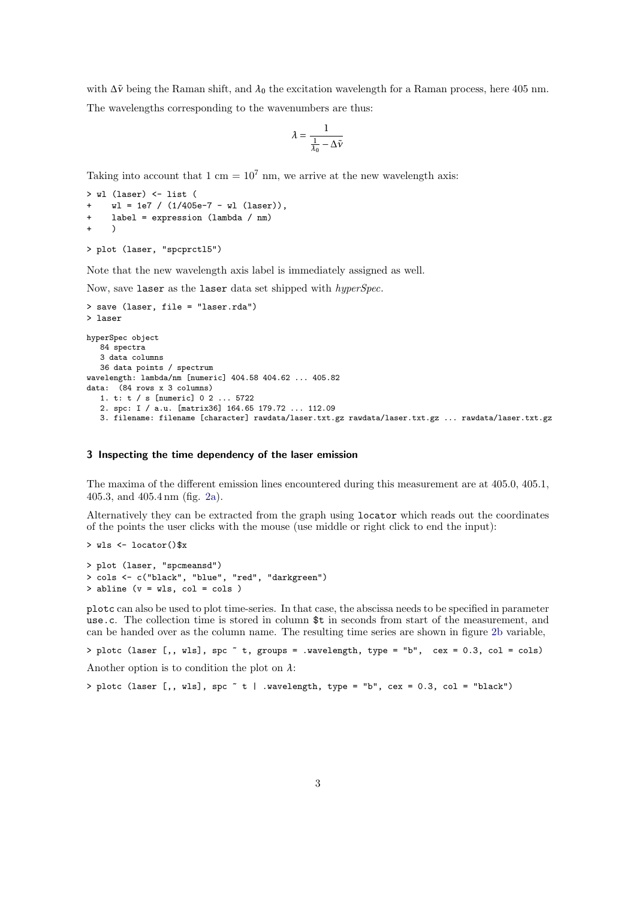with ∆*ν*˜ being the Raman shift, and *λ*<sup>0</sup> the excitation wavelength for a Raman process, here 405 nm.

The wavelengths corresponding to the wavenumbers are thus:

$$
\lambda = \frac{1}{\frac{1}{\lambda_0} - \Delta \tilde{\nu}}
$$

Taking into account that 1 cm =  $10^7$  nm, we arrive at the new wavelength axis:

```
> wl (laser) <- list (
    wl = 1e7 / (1/405e-7 - w1 (laser)),+ label = expression (lambda / nm)
+ )
> plot (laser, "spcprctl5")
```
Note that the new wavelength axis label is immediately assigned as well.

Now, save laser as the laser data set shipped with hyperSpec.

```
> save (laser, file = "laser.rda")
> laser
hyperSpec object
   84 spectra
   3 data columns
   36 data points / spectrum
wavelength: lambda/nm [numeric] 404.58 404.62 ... 405.82
data: (84 rows x 3 columns)
   1. t: t / s [numeric] 0 2 ... 5722
   2. spc: I / a.u. [matrix36] 164.65 179.72 ... 112.09
   3. filename: filename [character] rawdata/laser.txt.gz rawdata/laser.txt.gz ... rawdata/laser.txt.gz
```
#### <span id="page-2-0"></span>3 Inspecting the time dependency of the laser emission

The maxima of the different emission lines encountered during this measurement are at 405.0, 405.1, 405.3, and 405.4 nm (fig. [2a\)](#page-3-1).

Alternatively they can be extracted from the graph using locator which reads out the coordinates of the points the user clicks with the mouse (use middle or right click to end the input):

```
> wls <- locator()$x
> plot (laser, "spcmeansd")
> cols <- c("black", "blue", "red", "darkgreen")
> abline (v = wls, col = cols )
```
plotc can also be used to plot time-series. In that case, the abscissa needs to be specified in parameter use.c. The collection time is stored in column \$t in seconds from start of the measurement, and can be handed over as the column name. The resulting time series are shown in figure [2b](#page-3-2) variable,

```
> plotc (laser [,, wls], spc ~ t, groups = .wavelength, type = "b", cex = 0.3, col = cols)
```
Another option is to condition the plot on *λ*:

 $>$  plotc (laser [,, wls], spc  $\tilde{t}$  | .wavelength, type = "b", cex = 0.3, col = "black")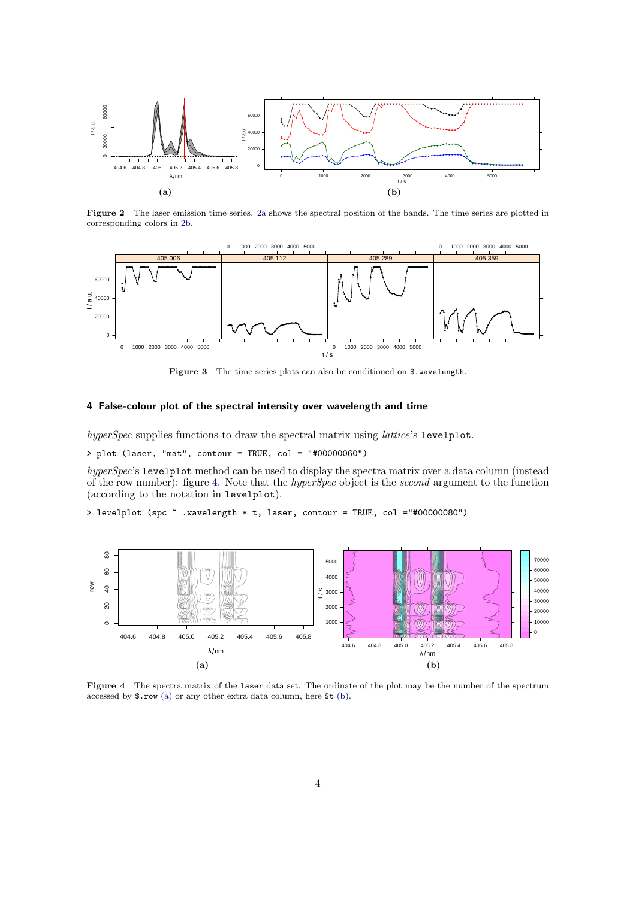<span id="page-3-1"></span>

<span id="page-3-2"></span>Figure 2 The laser emission time series. [2a](#page-3-1) shows the spectral position of the bands. The time series are plotted in corresponding colors in [2b.](#page-3-2)



Figure 3 The time series plots can also be conditioned on \$.wavelength.

## <span id="page-3-0"></span>4 False-colour plot of the spectral intensity over wavelength and time

hyperSpec supplies functions to draw the spectral matrix using *lattice's* levelplot.

> plot (laser, "mat", contour = TRUE, col = "#00000060")

hyperSpec's levelplot method can be used to display the spectra matrix over a data column (instead of the row number): figure [4.](#page-3-3) Note that the hyperSpec object is the second argument to the function (according to the notation in levelplot).

<span id="page-3-3"></span>> levelplot (spc ~ .wavelength \* t, laser, contour = TRUE, col ="#00000080")

<span id="page-3-4"></span>

<span id="page-3-5"></span>Figure 4 The spectra matrix of the laser data set. The ordinate of the plot may be the number of the spectrum accessed by \$.row [\(a\)](#page-3-4) or any other extra data column, here \$t [\(b\).](#page-3-5)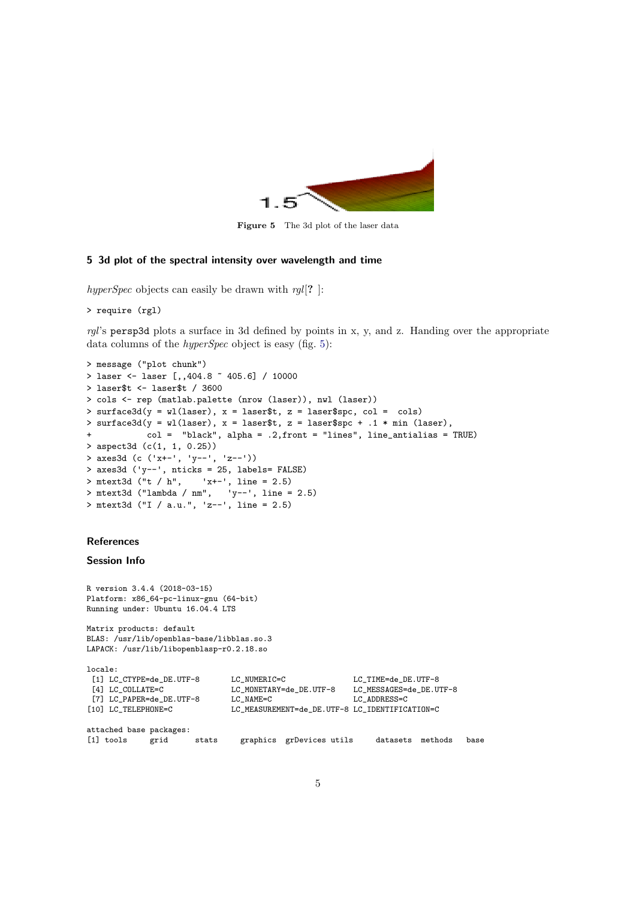<span id="page-4-1"></span>

Figure 5 The 3d plot of the laser data

## <span id="page-4-0"></span>5 3d plot of the spectral intensity over wavelength and time

hyperSpec objects can easily be drawn with  $rgl[?$  ]:

```
> require (rgl)
```
 $rgl's$  persp3d plots a surface in 3d defined by points in x, y, and z. Handing over the appropriate data columns of the *hyperSpec* object is easy (fig. [5\)](#page-4-1):

```
> message ("plot chunk")
> laser <- laser [,,404.8 ~ 405.6] / 10000
> laser$t <- laser$t / 3600
> cols <- rep (matlab.palette (nrow (laser)), nwl (laser))
> surface3d(y = wl(laser), x = laser$t, z = laser$spc, col = cols)
> surface3d(y = wl(laser), x = laser$t, z = laser$spc + .1 * min (laser),
            col = "black", alpha = .2,front = "lines", line_antialias = TRUE)
> aspect3d (c(1, 1, 0.25))
> axes3d (c ('x+-', 'y--', 'z--'))
> axes3d ('y--', nticks = 25, labels= FALSE)
> mtext3d ("t / h", 'x+-', line = 2.5)
> mtext3d ("lambda / nm", 'y--', line = 2.5)
> mtext3d ("I / a.u.", 'z--', line = 2.5)
```
## **References**

#### Session Info

```
R version 3.4.4 (2018-03-15)
Platform: x86_64-pc-linux-gnu (64-bit)
Running under: Ubuntu 16.04.4 LTS
Matrix products: default
BLAS: /usr/lib/openblas-base/libblas.so.3
LAPACK: /usr/lib/libopenblasp-r0.2.18.so
locale:
 [1] LC_CTYPE=de_DE.UTF-8 LC_NUMERIC=C LC_TIME=de_DE.UTF-8
 [4] LC_COLLATE=C LC_MONETARY=de_DE.UTF-8 LC_MESSAGES=de_DE.UTF-8
[7] LC_PAPER=de_DE.UTF-8 LC_NAME=C LC_ADDRESS=C<br>[10] LC_TELEPHONE=C LC_MEASUREMENT=de_DE.UTF-8 LC_IDENTIFIC
                               LC_MEASUREMENT=de_DE.UTF-8 LC_IDENTIFICATION=C
attached base packages:
[1] tools grid stats graphics grDevices utils datasets methods base
```